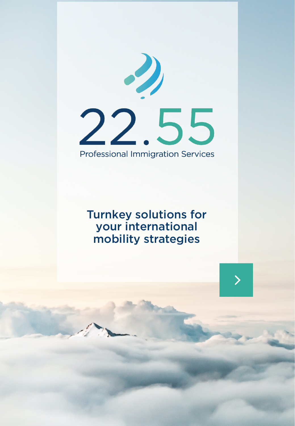

## Turnkey solutions for your international mobility strategies

 $\left\langle \right\rangle$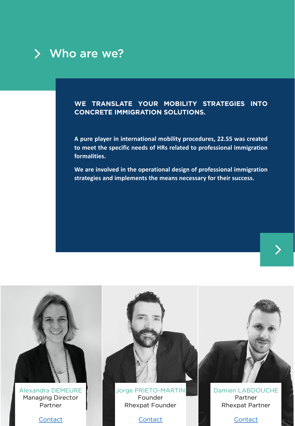

#### **WE TRANSLATE YOUR MOBILITY STRATEGIES INTO CONCRETE IMMIGRATION SOLUTIONS.**

**A pure player in international mobility procedures, 22.55 was created to meet the specific needs of HRs related to professional immigration formalities.**

**We are involved in the operational design of professional immigration strategies and implements the means necessary for their success.**

>

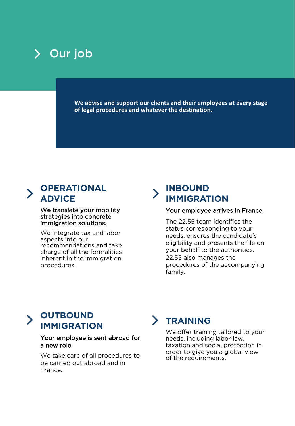

**We advise and support our clients and their employees at every stage of legal procedures and whatever the destination.**

#### **OPERATIONAL ADVICE**

We translate your mobility strategies into concrete immigration solutions.

We integrate tax and labor aspects into our recommendations and take charge of all the formalities inherent in the immigration procedures.

### **INBOUND IMMIGRATION**

#### Your employee arrives in France.

The 22.55 team identifies the status corresponding to your needs, ensures the candidate's eligibility and presents the file on your behalf to the authorities. 22.55 also manages the procedures of the accompanying family.

## **OUTBOUND IMMIGRATION**

#### Your employee is sent abroad for a new role.

We take care of all procedures to be carried out abroad and in France.

## **TRAINING**

We offer training tailored to your needs, including labor law, taxation and social protection in order to give you a global view of the requirements.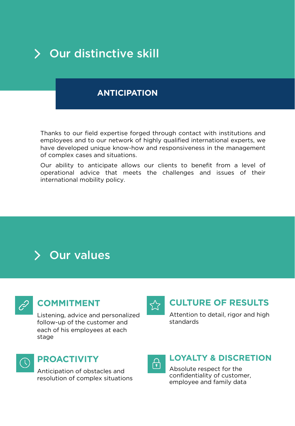

#### **ANTICIPATION**

Thanks to our field expertise forged through contact with institutions and employees and to our network of highly qualified international experts, we have developed unique know-how and responsiveness in the management of complex cases and situations.

Our ability to anticipate allows our clients to benefit from a level of operational advice that meets the challenges and issues of their international mobility policy.





#### **COMMITMENT**

Listening, advice and personalized follow-up of the customer and each of his employees at each stage



#### **CULTURE OF RESULTS**

Attention to detail, rigor and high standards



### **PROACTIVITY**

Anticipation of obstacles and resolution of complex situations



#### **LOYALTY & DISCRETION**

Absolute respect for the confidentiality of customer, employee and family data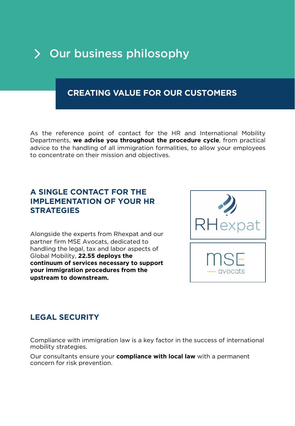# Our business philosophy

#### **CREATING VALUE FOR OUR CUSTOMERS**

As the reference point of contact for the HR and International Mobility Departments, **we advise you throughout the procedure cycle**, from practical advice to the handling of all immigration formalities, to allow your employees to concentrate on their mission and objectives.

#### **A SINGLE CONTACT FOR THE IMPLEMENTATION OF YOUR HR STRATEGIES**

Alongside the experts from Rhexpat and our partner firm MSE Avocats, dedicated to handling the legal, tax and labor aspects of Global Mobility, **22.55 deploys the continuum of services necessary to support your immigration procedures from the upstream to downstream.**



#### **LEGAL SECURITY**

Compliance with immigration law is a key factor in the success of international mobility strategies.

Our consultants ensure your **compliance with local law** with a permanent concern for risk prevention.